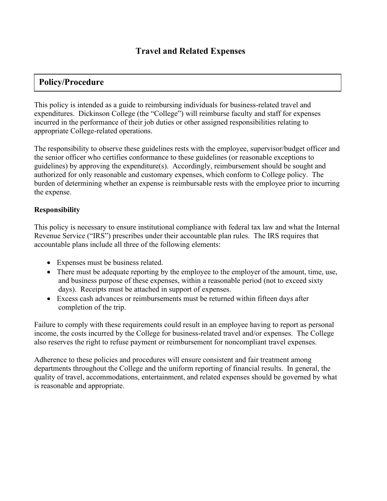# **Policy/Procedure**

This policy is intended as a guide to reimbursing individuals for business-related travel and expenditures. Dickinson College (the "College") will reimburse faculty and staff for expenses incurred in the performance of their job duties or other assigned responsibilities relating to appropriate College-related operations.

The responsibility to observe these guidelines rests with the employee, supervisor/budget officer and the senior officer who certifies conformance to these guidelines (or reasonable exceptions to guidelines) by approving the expenditure(s). Accordingly, reimbursement should be sought and authorized for only reasonable and customary expenses, which conform to College policy. The burden of determining whether an expense is reimbursable rests with the employee prior to incurring the expense.

#### **Responsibility**

This policy is necessary to ensure institutional compliance with federal tax law and what the Internal Revenue Service ("IRS") prescribes under their accountable plan rules. The IRS requires that accountable plans include all three of the following elements:

- Expenses must be business related.
- There must be adequate reporting by the employee to the employer of the amount, time, use, and business purpose of these expenses, within a reasonable period (not to exceed sixty days). Receipts must be attached in support of expenses.
- Excess cash advances or reimbursements must be returned within fifteen days after completion of the trip.

Failure to comply with these requirements could result in an employee having to report as personal income, the costs incurred by the College for business-related travel and/or expenses. The College also reserves the right to refuse payment or reimbursement for noncompliant travel expenses.

Adherence to these policies and procedures will ensure consistent and fair treatment among departments throughout the College and the uniform reporting of financial results. In general, the quality of travel, accommodations, entertainment, and related expenses should be governed by what is reasonable and appropriate.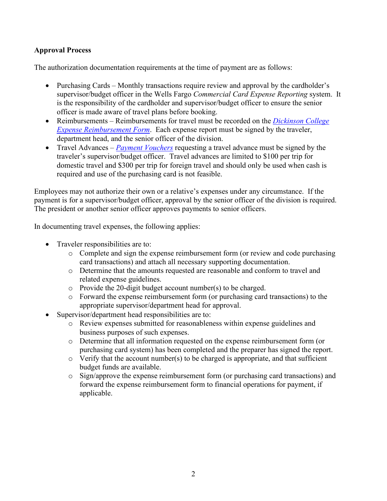### **Approval Process**

The authorization documentation requirements at the time of payment are as follows:

- Purchasing Cards Monthly transactions require review and approval by the cardholder's supervisor/budget officer in the Wells Fargo *Commercial Card Expense Reporting* system. It is the responsibility of the cardholder and supervisor/budget officer to ensure the senior officer is made aware of travel plans before booking.
- Reimbursements Reimbursements for travel must be recorded on the *[Dickinson College](https://www.dickinson.edu/homepage/1285/travel_services)  [Expense Reimbursement Form](https://www.dickinson.edu/homepage/1285/travel_services)*. Each expense report must be signed by the traveler, department head, and the senior officer of the division.
- Travel Advances *[Payment Vouchers](http://www.dickinson.edu/downloads/file/1005/accounts_payable_payment_voucher)* requesting a travel advance must be signed by the traveler's supervisor/budget officer. Travel advances are limited to \$100 per trip for domestic travel and \$300 per trip for foreign travel and should only be used when cash is required and use of the purchasing card is not feasible.

Employees may not authorize their own or a relative's expenses under any circumstance. If the payment is for a supervisor/budget officer, approval by the senior officer of the division is required. The president or another senior officer approves payments to senior officers.

In documenting travel expenses, the following applies:

- Traveler responsibilities are to:
	- o Complete and sign the expense reimbursement form (or review and code purchasing card transactions) and attach all necessary supporting documentation.
	- o Determine that the amounts requested are reasonable and conform to travel and related expense guidelines.
	- o Provide the 20-digit budget account number(s) to be charged.
	- o Forward the expense reimbursement form (or purchasing card transactions) to the appropriate supervisor/department head for approval.
- Supervisor/department head responsibilities are to:
	- o Review expenses submitted for reasonableness within expense guidelines and business purposes of such expenses.
	- o Determine that all information requested on the expense reimbursement form (or purchasing card system) has been completed and the preparer has signed the report.
	- $\circ$  Verify that the account number(s) to be charged is appropriate, and that sufficient budget funds are available.
	- o Sign/approve the expense reimbursement form (or purchasing card transactions) and forward the expense reimbursement form to financial operations for payment, if applicable.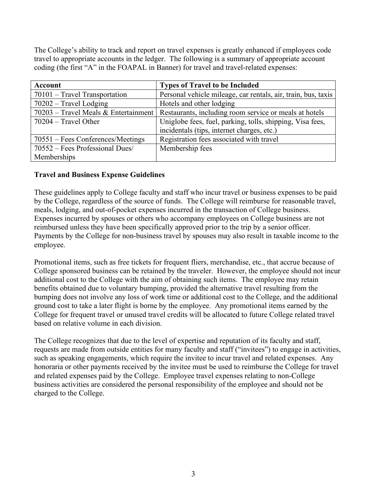The College's ability to track and report on travel expenses is greatly enhanced if employees code travel to appropriate accounts in the ledger. The following is a summary of appropriate account coding (the first "A" in the FOAPAL in Banner) for travel and travel-related expenses:

| Account                           | <b>Types of Travel to be Included</b>                                                         |
|-----------------------------------|-----------------------------------------------------------------------------------------------|
| $70101$ – Travel Transportation   | Personal vehicle mileage, car rentals, air, train, bus, taxis                                 |
| $70202$ – Travel Lodging          | Hotels and other lodging                                                                      |
|                                   | 70203 – Travel Meals & Entertainment   Restaurants, including room service or meals at hotels |
| $70204 - Travel Other$            | Uniglobe fees, fuel, parking, tolls, shipping, Visa fees,                                     |
|                                   | incidentals (tips, internet charges, etc.)                                                    |
| 70551 – Fees Conferences/Meetings | Registration fees associated with travel                                                      |
| 70552 – Fees Professional Dues/   | Membership fees                                                                               |
| Memberships                       |                                                                                               |

#### **Travel and Business Expense Guidelines**

These guidelines apply to College faculty and staff who incur travel or business expenses to be paid by the College, regardless of the source of funds. The College will reimburse for reasonable travel, meals, lodging, and out-of-pocket expenses incurred in the transaction of College business. Expenses incurred by spouses or others who accompany employees on College business are not reimbursed unless they have been specifically approved prior to the trip by a senior officer. Payments by the College for non-business travel by spouses may also result in taxable income to the employee.

Promotional items, such as free tickets for frequent fliers, merchandise, etc., that accrue because of College sponsored business can be retained by the traveler. However, the employee should not incur additional cost to the College with the aim of obtaining such items. The employee may retain benefits obtained due to voluntary bumping, provided the alternative travel resulting from the bumping does not involve any loss of work time or additional cost to the College, and the additional ground cost to take a later flight is borne by the employee. Any promotional items earned by the College for frequent travel or unused travel credits will be allocated to future College related travel based on relative volume in each division.

The College recognizes that due to the level of expertise and reputation of its faculty and staff, requests are made from outside entities for many faculty and staff ("invitees") to engage in activities, such as speaking engagements, which require the invitee to incur travel and related expenses. Any honoraria or other payments received by the invitee must be used to reimburse the College for travel and related expenses paid by the College. Employee travel expenses relating to non-College business activities are considered the personal responsibility of the employee and should not be charged to the College.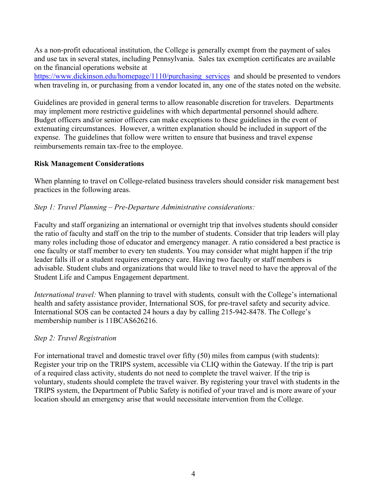As a non-profit educational institution, the College is generally exempt from the payment of sales and use tax in several states, including Pennsylvania. Sales tax exemption certificates are available on the financial operations website at

https://www.dickinson.edu/homepage/1110/purchasing services and should be presented to vendors when traveling in, or purchasing from a vendor located in, any one of the states noted on the website.

Guidelines are provided in general terms to allow reasonable discretion for travelers. Departments may implement more restrictive guidelines with which departmental personnel should adhere. Budget officers and/or senior officers can make exceptions to these guidelines in the event of extenuating circumstances. However, a written explanation should be included in support of the expense. The guidelines that follow were written to ensure that business and travel expense reimbursements remain tax-free to the employee.

#### **Risk Management Considerations**

When planning to travel on College-related business travelers should consider risk management best practices in the following areas.

#### *Step 1: Travel Planning – Pre-Departure Administrative considerations:*

Faculty and staff organizing an international or overnight trip that involves students should consider the ratio of faculty and staff on the trip to the number of students. Consider that trip leaders will play many roles including those of educator and emergency manager. A ratio considered a best practice is one faculty or staff member to every ten students. You may consider what might happen if the trip leader falls ill or a student requires emergency care. Having two faculty or staff members is advisable. Student clubs and organizations that would like to travel need to have the approval of the Student Life and Campus Engagement department.

*International travel:* When planning to travel with students*,* consult with the College's international health and safety assistance provider, International SOS, for pre-travel safety and security advice. International SOS can be contacted 24 hours a day by calling 215-942-8478. The College's membership number is 11BCAS626216.

#### *Step 2: Travel Registration*

For international travel and domestic travel over fifty (50) miles from campus (with students): Register your trip on the TRIPS system, accessible via CLIQ within the Gateway. If the trip is part of a required class activity, students do not need to complete the travel waiver. If the trip is voluntary, students should complete the travel waiver. By registering your travel with students in the TRIPS system, the Department of Public Safety is notified of your travel and is more aware of your location should an emergency arise that would necessitate intervention from the College.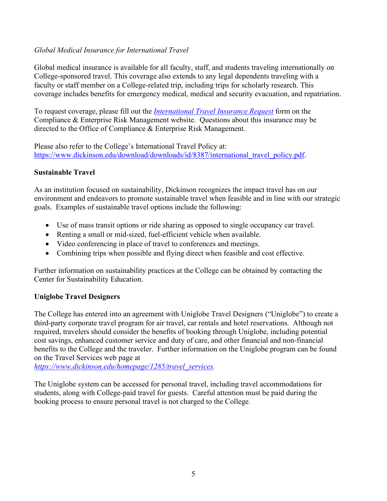### *Global Medical Insurance for International Travel*

Global medical insurance is available for all faculty, staff, and students traveling internationally on College-sponsored travel. This coverage also extends to any legal dependents traveling with a faculty or staff member on a College-related trip, including trips for scholarly research. This coverage includes benefits for emergency medical, medical and security evacuation, and repatriation.

To request coverage, please fill out the *[International Travel Insurance Request](https://www.dickinson.edu/forms/form/211/en/international_travel_insurance_request_for_non-credit_bearing_travel)* form on the Compliance & Enterprise Risk Management website. Questions about this insurance may be directed to the Office of Compliance & Enterprise Risk Management.

Please also refer to the College's International Travel Policy at: [https://www.dickinson.edu/download/downloads/id/8387/international\\_travel\\_policy.pdf.](https://www.dickinson.edu/download/downloads/id/8387/international_travel_policy.pdf)

#### **Sustainable Travel**

As an institution focused on sustainability, Dickinson recognizes the impact travel has on our environment and endeavors to promote sustainable travel when feasible and in line with our strategic goals. Examples of sustainable travel options include the following:

- Use of mass transit options or ride sharing as opposed to single occupancy car travel.
- Renting a small or mid-sized, fuel-efficient vehicle when available.
- Video conferencing in place of travel to conferences and meetings.
- Combining trips when possible and flying direct when feasible and cost effective.

Further information on sustainability practices at the College can be obtained by contacting the Center for Sustainability Education.

#### **Uniglobe Travel Designers**

The College has entered into an agreement with Uniglobe Travel Designers ("Uniglobe") to create a third-party corporate travel program for air travel, car rentals and hotel reservations. Although not required, travelers should consider the benefits of booking through Uniglobe, including potential cost savings, enhanced customer service and duty of care, and other financial and non-financial benefits to the College and the traveler. Further information on the Uniglobe program can be found on the Travel Services web page at

*[https://www.dickinson.edu/homepage/1285/travel\\_services.](https://www.dickinson.edu/homepage/1285/travel_services)* 

The Uniglobe system can be accessed for personal travel, including travel accommodations for students, along with College-paid travel for guests. Careful attention must be paid during the booking process to ensure personal travel is not charged to the College.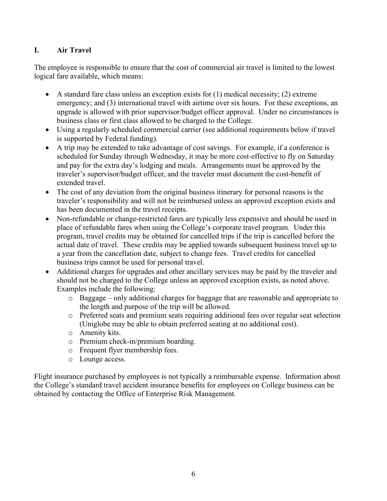## **I. Air Travel**

The employee is responsible to ensure that the cost of commercial air travel is limited to the lowest logical fare available, which means:

- A standard fare class unless an exception exists for  $(1)$  medical necessity;  $(2)$  extreme emergency; and (3) international travel with airtime over six hours. For these exceptions, an upgrade is allowed with prior supervisor/budget officer approval. Under no circumstances is business class or first class allowed to be charged to the College.
- Using a regularly scheduled commercial carrier (see additional requirements below if travel is supported by Federal funding).
- A trip may be extended to take advantage of cost savings. For example, if a conference is scheduled for Sunday through Wednesday, it may be more cost-effective to fly on Saturday and pay for the extra day's lodging and meals. Arrangements must be approved by the traveler's supervisor/budget officer, and the traveler must document the cost-benefit of extended travel.
- The cost of any deviation from the original business itinerary for personal reasons is the traveler's responsibility and will not be reimbursed unless an approved exception exists and has been documented in the travel receipts.
- Non-refundable or change-restricted fares are typically less expensive and should be used in place of refundable fares when using the College's corporate travel program. Under this program, travel credits may be obtained for cancelled trips if the trip is cancelled before the actual date of travel. These credits may be applied towards subsequent business travel up to a year from the cancellation date, subject to change fees. Travel credits for cancelled business trips cannot be used for personal travel.
- Additional charges for upgrades and other ancillary services may be paid by the traveler and should not be charged to the College unless an approved exception exists, as noted above. Examples include the following:
	- o Baggage only additional charges for baggage that are reasonable and appropriate to the length and purpose of the trip will be allowed.
	- o Preferred seats and premium seats requiring additional fees over regular seat selection (Uniglobe may be able to obtain preferred seating at no additional cost).
	- o Amenity kits.
	- o Premium check-in/premium boarding.
	- o Frequent flyer membership fees.
	- o Lounge access.

Flight insurance purchased by employees is not typically a reimbursable expense. Information about the College's standard travel accident insurance benefits for employees on College business can be obtained by contacting the Office of Enterprise Risk Management.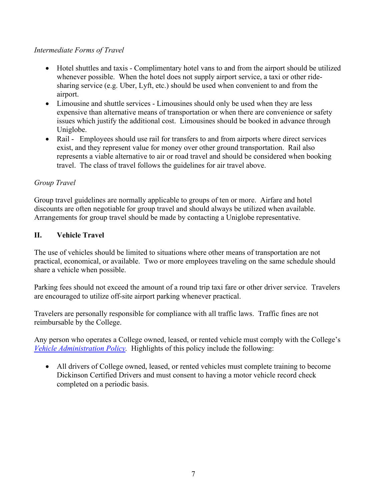#### *Intermediate Forms of Travel*

- Hotel shuttles and taxis Complimentary hotel vans to and from the airport should be utilized whenever possible. When the hotel does not supply airport service, a taxi or other ridesharing service (e.g. Uber, Lyft, etc.) should be used when convenient to and from the airport.
- Limousine and shuttle services Limousines should only be used when they are less expensive than alternative means of transportation or when there are convenience or safety issues which justify the additional cost. Limousines should be booked in advance through Uniglobe.
- Rail Employees should use rail for transfers to and from airports where direct services exist, and they represent value for money over other ground transportation. Rail also represents a viable alternative to air or road travel and should be considered when booking travel. The class of travel follows the guidelines for air travel above.

### *Group Travel*

Group travel guidelines are normally applicable to groups of ten or more. Airfare and hotel discounts are often negotiable for group travel and should always be utilized when available. Arrangements for group travel should be made by contacting a Uniglobe representative.

### **II. Vehicle Travel**

The use of vehicles should be limited to situations where other means of transportation are not practical, economical, or available. Two or more employees traveling on the same schedule should share a vehicle when possible.

Parking fees should not exceed the amount of a round trip taxi fare or other driver service. Travelers are encouraged to utilize off-site airport parking whenever practical.

Travelers are personally responsible for compliance with all traffic laws. Traffic fines are not reimbursable by the College.

Any person who operates a College owned, leased, or rented vehicle must comply with the College's *[Vehicle Administration Policy.](https://www.dickinson.edu/download/downloads/id/10517/vehicle_administration_policy.pdf)* Highlights of this policy include the following:

• All drivers of College owned, leased, or rented vehicles must complete training to become Dickinson Certified Drivers and must consent to having a motor vehicle record check completed on a periodic basis.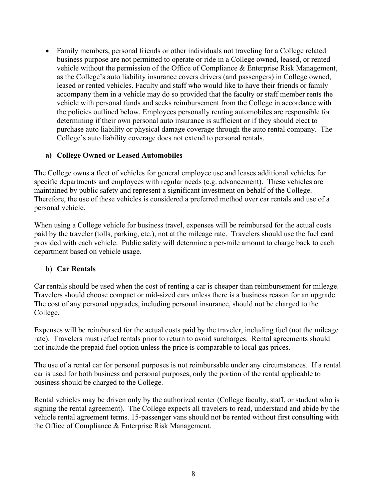• Family members, personal friends or other individuals not traveling for a College related business purpose are not permitted to operate or ride in a College owned, leased, or rented vehicle without the permission of the Office of Compliance & Enterprise Risk Management, as the College's auto liability insurance covers drivers (and passengers) in College owned, leased or rented vehicles. Faculty and staff who would like to have their friends or family accompany them in a vehicle may do so provided that the faculty or staff member rents the vehicle with personal funds and seeks reimbursement from the College in accordance with the policies outlined below. Employees personally renting automobiles are responsible for determining if their own personal auto insurance is sufficient or if they should elect to purchase auto liability or physical damage coverage through the auto rental company. The College's auto liability coverage does not extend to personal rentals.

#### **a) College Owned or Leased Automobiles**

The College owns a fleet of vehicles for general employee use and leases additional vehicles for specific departments and employees with regular needs (e.g. advancement). These vehicles are maintained by public safety and represent a significant investment on behalf of the College. Therefore, the use of these vehicles is considered a preferred method over car rentals and use of a personal vehicle.

When using a College vehicle for business travel, expenses will be reimbursed for the actual costs paid by the traveler (tolls, parking, etc.), not at the mileage rate. Travelers should use the fuel card provided with each vehicle. Public safety will determine a per-mile amount to charge back to each department based on vehicle usage.

#### **b) Car Rentals**

Car rentals should be used when the cost of renting a car is cheaper than reimbursement for mileage. Travelers should choose compact or mid-sized cars unless there is a business reason for an upgrade. The cost of any personal upgrades, including personal insurance, should not be charged to the College.

Expenses will be reimbursed for the actual costs paid by the traveler, including fuel (not the mileage rate). Travelers must refuel rentals prior to return to avoid surcharges. Rental agreements should not include the prepaid fuel option unless the price is comparable to local gas prices.

The use of a rental car for personal purposes is not reimbursable under any circumstances. If a rental car is used for both business and personal purposes, only the portion of the rental applicable to business should be charged to the College.

Rental vehicles may be driven only by the authorized renter (College faculty, staff, or student who is signing the rental agreement). The College expects all travelers to read, understand and abide by the vehicle rental agreement terms. 15-passenger vans should not be rented without first consulting with the Office of Compliance & Enterprise Risk Management.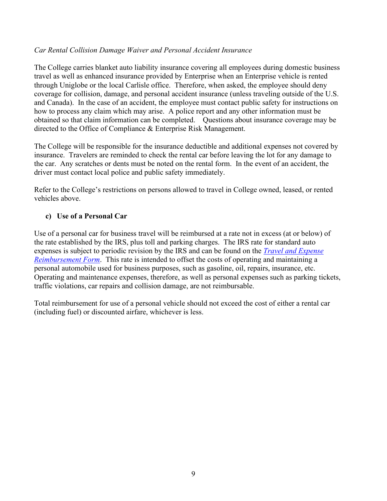#### *Car Rental Collision Damage Waiver and Personal Accident Insurance*

The College carries blanket auto liability insurance covering all employees during domestic business travel as well as enhanced insurance provided by Enterprise when an Enterprise vehicle is rented through Uniglobe or the local Carlisle office. Therefore, when asked, the employee should deny coverage for collision, damage, and personal accident insurance (unless traveling outside of the U.S. and Canada). In the case of an accident, the employee must contact public safety for instructions on how to process any claim which may arise. A police report and any other information must be obtained so that claim information can be completed. Questions about insurance coverage may be directed to the Office of Compliance & Enterprise Risk Management.

The College will be responsible for the insurance deductible and additional expenses not covered by insurance. Travelers are reminded to check the rental car before leaving the lot for any damage to the car. Any scratches or dents must be noted on the rental form. In the event of an accident, the driver must contact local police and public safety immediately.

Refer to the College's restrictions on persons allowed to travel in College owned, leased, or rented vehicles above.

#### **c) Use of a Personal Car**

Use of a personal car for business travel will be reimbursed at a rate not in excess (at or below) of the rate established by the IRS, plus toll and parking charges. The IRS rate for standard auto expenses is subject to periodic revision by the IRS and can be found on the *[Travel and Expense](https://www.dickinson.edu/homepage/1285/travel_services)  [Reimbursement Form](https://www.dickinson.edu/homepage/1285/travel_services)*. This rate is intended to offset the costs of operating and maintaining a personal automobile used for business purposes, such as gasoline, oil, repairs, insurance, etc. Operating and maintenance expenses, therefore, as well as personal expenses such as parking tickets, traffic violations, car repairs and collision damage, are not reimbursable.

Total reimbursement for use of a personal vehicle should not exceed the cost of either a rental car (including fuel) or discounted airfare, whichever is less.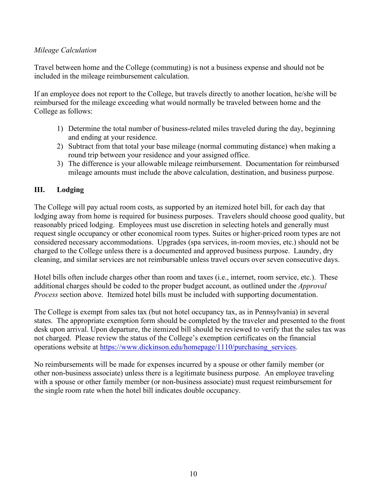### *Mileage Calculation*

Travel between home and the College (commuting) is not a business expense and should not be included in the mileage reimbursement calculation.

If an employee does not report to the College, but travels directly to another location, he/she will be reimbursed for the mileage exceeding what would normally be traveled between home and the College as follows:

- 1) Determine the total number of business-related miles traveled during the day, beginning and ending at your residence.
- 2) Subtract from that total your base mileage (normal commuting distance) when making a round trip between your residence and your assigned office.
- 3) The difference is your allowable mileage reimbursement. Documentation for reimbursed mileage amounts must include the above calculation, destination, and business purpose.

### **III. Lodging**

The College will pay actual room costs, as supported by an itemized hotel bill, for each day that lodging away from home is required for business purposes. Travelers should choose good quality, but reasonably priced lodging. Employees must use discretion in selecting hotels and generally must request single occupancy or other economical room types. Suites or higher-priced room types are not considered necessary accommodations. Upgrades (spa services, in-room movies, etc.) should not be charged to the College unless there is a documented and approved business purpose. Laundry, dry cleaning, and similar services are not reimbursable unless travel occurs over seven consecutive days.

Hotel bills often include charges other than room and taxes (i.e., internet, room service, etc.). These additional charges should be coded to the proper budget account, as outlined under the *Approval Process* section above. Itemized hotel bills must be included with supporting documentation.

The College is exempt from sales tax (but not hotel occupancy tax, as in Pennsylvania) in several states. The appropriate exemption form should be completed by the traveler and presented to the front desk upon arrival. Upon departure, the itemized bill should be reviewed to verify that the sales tax was not charged. Please review the status of the College's exemption certificates on the financial operations website at [https://www.dickinson.edu/homepage/1110/purchasing\\_services.](https://www.dickinson.edu/homepage/1110/purchasing_services)

No reimbursements will be made for expenses incurred by a spouse or other family member (or other non-business associate) unless there is a legitimate business purpose. An employee traveling with a spouse or other family member (or non-business associate) must request reimbursement for the single room rate when the hotel bill indicates double occupancy.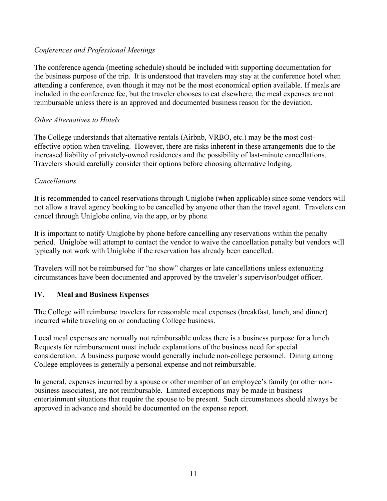#### *Conferences and Professional Meetings*

The conference agenda (meeting schedule) should be included with supporting documentation for the business purpose of the trip. It is understood that travelers may stay at the conference hotel when attending a conference, even though it may not be the most economical option available. If meals are included in the conference fee, but the traveler chooses to eat elsewhere, the meal expenses are not reimbursable unless there is an approved and documented business reason for the deviation.

#### *Other Alternatives to Hotels*

The College understands that alternative rentals (Airbnb, VRBO, etc.) may be the most costeffective option when traveling. However, there are risks inherent in these arrangements due to the increased liability of privately-owned residences and the possibility of last-minute cancellations. Travelers should carefully consider their options before choosing alternative lodging.

#### *Cancellations*

It is recommended to cancel reservations through Uniglobe (when applicable) since some vendors will not allow a travel agency booking to be cancelled by anyone other than the travel agent. Travelers can cancel through Uniglobe online, via the app, or by phone.

It is important to notify Uniglobe by phone before cancelling any reservations within the penalty period. Uniglobe will attempt to contact the vendor to waive the cancellation penalty but vendors will typically not work with Uniglobe if the reservation has already been cancelled.

Travelers will not be reimbursed for "no show" charges or late cancellations unless extenuating circumstances have been documented and approved by the traveler's supervisor/budget officer.

#### **IV. Meal and Business Expenses**

The College will reimburse travelers for reasonable meal expenses (breakfast, lunch, and dinner) incurred while traveling on or conducting College business.

Local meal expenses are normally not reimbursable unless there is a business purpose for a lunch. Requests for reimbursement must include explanations of the business need for special consideration. A business purpose would generally include non-college personnel. Dining among College employees is generally a personal expense and not reimbursable.

In general, expenses incurred by a spouse or other member of an employee's family (or other nonbusiness associates), are not reimbursable. Limited exceptions may be made in business entertainment situations that require the spouse to be present. Such circumstances should always be approved in advance and should be documented on the expense report.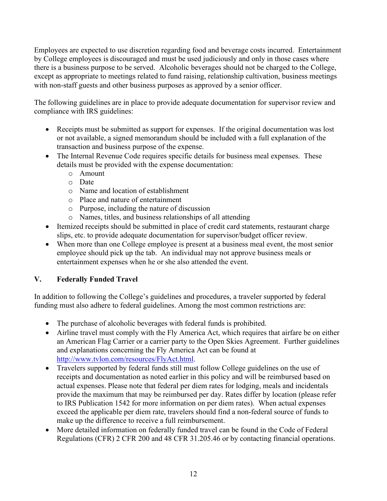Employees are expected to use discretion regarding food and beverage costs incurred. Entertainment by College employees is discouraged and must be used judiciously and only in those cases where there is a business purpose to be served. Alcoholic beverages should not be charged to the College, except as appropriate to meetings related to fund raising, relationship cultivation, business meetings with non-staff guests and other business purposes as approved by a senior officer.

The following guidelines are in place to provide adequate documentation for supervisor review and compliance with IRS guidelines:

- Receipts must be submitted as support for expenses. If the original documentation was lost or not available, a signed memorandum should be included with a full explanation of the transaction and business purpose of the expense.
- The Internal Revenue Code requires specific details for business meal expenses. These details must be provided with the expense documentation:
	- o Amount
	- o Date
	- o Name and location of establishment
	- o Place and nature of entertainment
	- o Purpose, including the nature of discussion
	- o Names, titles, and business relationships of all attending
- Itemized receipts should be submitted in place of credit card statements, restaurant charge slips, etc. to provide adequate documentation for supervisor/budget officer review.
- When more than one College employee is present at a business meal event, the most senior employee should pick up the tab. An individual may not approve business meals or entertainment expenses when he or she also attended the event.

# **V. Federally Funded Travel**

In addition to following the College's guidelines and procedures, a traveler supported by federal funding must also adhere to federal guidelines. Among the most common restrictions are:

- The purchase of alcoholic beverages with federal funds is prohibited.
- Airline travel must comply with the Fly America Act, which requires that airfare be on either an American Flag Carrier or a carrier party to the Open Skies Agreement. Further guidelines and explanations concerning the Fly America Act can be found at [http://www.tvlon.com/resources/FlyAct.html.](http://www.tvlon.com/resources/FlyAct.html)
- Travelers supported by federal funds still must follow College guidelines on the use of receipts and documentation as noted earlier in this policy and will be reimbursed based on actual expenses. Please note that federal per diem rates for lodging, meals and incidentals provide the maximum that may be reimbursed per day. Rates differ by location (please refer to IRS Publication 1542 for more information on per diem rates). When actual expenses exceed the applicable per diem rate, travelers should find a non-federal source of funds to make up the difference to receive a full reimbursement.
- More detailed information on federally funded travel can be found in the Code of Federal Regulations (CFR) 2 CFR 200 and 48 CFR 31.205.46 or by contacting financial operations.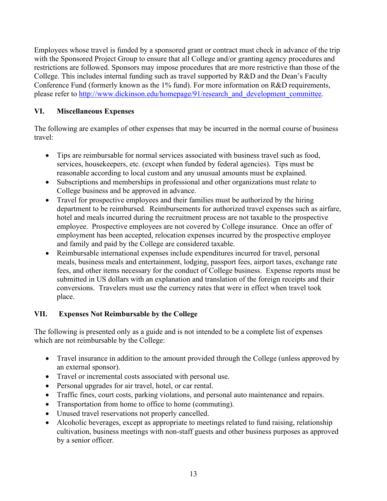Employees whose travel is funded by a sponsored grant or contract must check in advance of the trip with the Sponsored Project Group to ensure that all College and/or granting agency procedures and restrictions are followed. Sponsors may impose procedures that are more restrictive than those of the College. This includes internal funding such as travel supported by R&D and the Dean's Faculty Conference Fund (formerly known as the 1% fund). For more information on R&D requirements, please refer to [http://www.dickinson.edu/homepage/91/research\\_and\\_development\\_committee.](http://www.dickinson.edu/homepage/91/research_and_development_committee)

## **VI. Miscellaneous Expenses**

The following are examples of other expenses that may be incurred in the normal course of business travel:

- Tips are reimbursable for normal services associated with business travel such as food, services, housekeepers, etc. (except when funded by federal agencies). Tips must be reasonable according to local custom and any unusual amounts must be explained.
- Subscriptions and memberships in professional and other organizations must relate to College business and be approved in advance.
- Travel for prospective employees and their families must be authorized by the hiring department to be reimbursed. Reimbursements for authorized travel expenses such as airfare, hotel and meals incurred during the recruitment process are not taxable to the prospective employee. Prospective employees are not covered by College insurance. Once an offer of employment has been accepted, relocation expenses incurred by the prospective employee and family and paid by the College are considered taxable.
- Reimbursable international expenses include expenditures incurred for travel, personal meals, business meals and entertainment, lodging, passport fees, airport taxes, exchange rate fees, and other items necessary for the conduct of College business. Expense reports must be submitted in US dollars with an explanation and translation of the foreign receipts and their conversions. Travelers must use the currency rates that were in effect when travel took place.

## **VII. Expenses Not Reimbursable by the College**

The following is presented only as a guide and is not intended to be a complete list of expenses which are not reimbursable by the College:

- Travel insurance in addition to the amount provided through the College (unless approved by an external sponsor).
- Travel or incremental costs associated with personal use.
- Personal upgrades for air travel, hotel, or car rental.
- Traffic fines, court costs, parking violations, and personal auto maintenance and repairs.
- Transportation from home to office to home (commuting).
- Unused travel reservations not properly cancelled.
- Alcoholic beverages, except as appropriate to meetings related to fund raising, relationship cultivation, business meetings with non-staff guests and other business purposes as approved by a senior officer.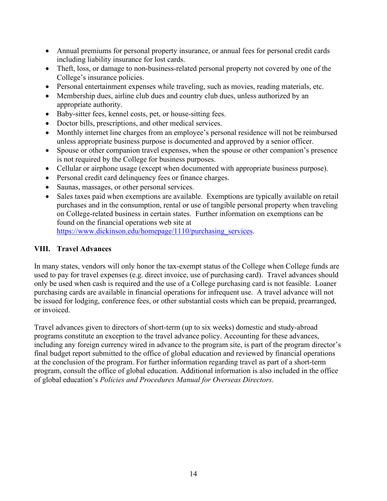- Annual premiums for personal property insurance, or annual fees for personal credit cards including liability insurance for lost cards.
- Theft, loss, or damage to non-business-related personal property not covered by one of the College's insurance policies.
- Personal entertainment expenses while traveling, such as movies, reading materials, etc.
- Membership dues, airline club dues and country club dues, unless authorized by an appropriate authority.
- Baby-sitter fees, kennel costs, pet, or house-sitting fees.
- Doctor bills, prescriptions, and other medical services.
- Monthly internet line charges from an employee's personal residence will not be reimbursed unless appropriate business purpose is documented and approved by a senior officer.
- Spouse or other companion travel expenses, when the spouse or other companion's presence is not required by the College for business purposes.
- Cellular or airphone usage (except when documented with appropriate business purpose).
- Personal credit card delinquency fees or finance charges.
- Saunas, massages, or other personal services.
- Sales taxes paid when exemptions are available. Exemptions are typically available on retail purchases and in the consumption, rental or use of tangible personal property when traveling on College-related business in certain states. Further information on exemptions can be found on the financial operations web site at [https://www.dickinson.edu/homepage/1110/purchasing\\_services.](https://www.dickinson.edu/homepage/1110/purchasing_services)

## **VIII. Travel Advances**

In many states, vendors will only honor the tax-exempt status of the College when College funds are used to pay for travel expenses (e.g. direct invoice, use of purchasing card). Travel advances should only be used when cash is required and the use of a College purchasing card is not feasible. Loaner purchasing cards are available in financial operations for infrequent use. A travel advance will not be issued for lodging, conference fees, or other substantial costs which can be prepaid, prearranged, or invoiced.

Travel advances given to directors of short-term (up to six weeks) domestic and study-abroad programs constitute an exception to the travel advance policy. Accounting for these advances, including any foreign currency wired in advance to the program site, is part of the program director's final budget report submitted to the office of global education and reviewed by financial operations at the conclusion of the program. For further information regarding travel as part of a short-term program, consult the office of global education. Additional information is also included in the office of global education's *Policies and Procedures Manual for Overseas Directors*.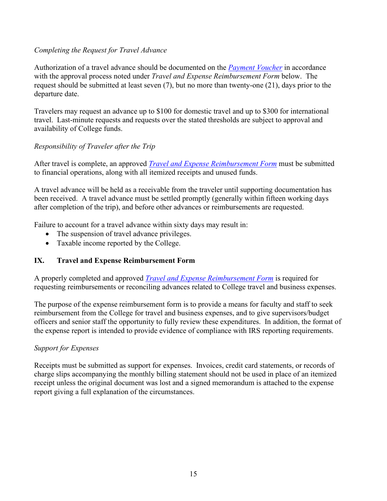### *Completing the Request for Travel Advance*

Authorization of a travel advance should be documented on the *[Payment Voucher](http://www.dickinson.edu/downloads/file/1005/accounts_payable_payment_voucher)* in accordance with the approval process noted under *Travel and Expense Reimbursement Form* below. The request should be submitted at least seven (7), but no more than twenty-one (21), days prior to the departure date.

Travelers may request an advance up to \$100 for domestic travel and up to \$300 for international travel. Last-minute requests and requests over the stated thresholds are subject to approval and availability of College funds.

## *Responsibility of Traveler after the Trip*

After travel is complete, an approved *[Travel and Expense Reimbursement Form](https://www.dickinson.edu/homepage/1285/travel_services)* must be submitted to financial operations, along with all itemized receipts and unused funds.

A travel advance will be held as a receivable from the traveler until supporting documentation has been received. A travel advance must be settled promptly (generally within fifteen working days after completion of the trip), and before other advances or reimbursements are requested.

Failure to account for a travel advance within sixty days may result in:

- The suspension of travel advance privileges.
- Taxable income reported by the College.

## **IX. Travel and Expense Reimbursement Form**

A properly completed and approved *[Travel and Expense Reimbursement Form](https://www.dickinson.edu/homepage/1285/travel_services)* is required for requesting reimbursements or reconciling advances related to College travel and business expenses.

The purpose of the expense reimbursement form is to provide a means for faculty and staff to seek reimbursement from the College for travel and business expenses, and to give supervisors/budget officers and senior staff the opportunity to fully review these expenditures. In addition, the format of the expense report is intended to provide evidence of compliance with IRS reporting requirements.

#### *Support for Expenses*

Receipts must be submitted as support for expenses. Invoices, credit card statements, or records of charge slips accompanying the monthly billing statement should not be used in place of an itemized receipt unless the original document was lost and a signed memorandum is attached to the expense report giving a full explanation of the circumstances.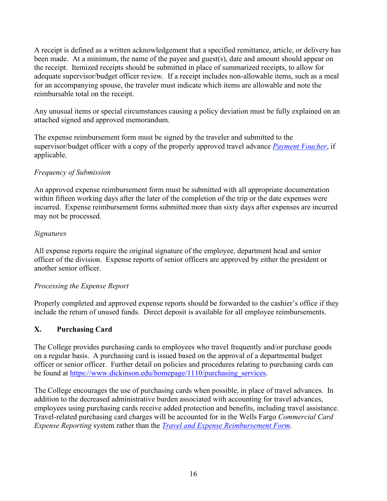A receipt is defined as a written acknowledgement that a specified remittance, article, or delivery has been made. At a minimum, the name of the payee and guest(s), date and amount should appear on the receipt. Itemized receipts should be submitted in place of summarized receipts, to allow for adequate supervisor/budget officer review. If a receipt includes non-allowable items, such as a meal for an accompanying spouse, the traveler must indicate which items are allowable and note the reimbursable total on the receipt.

Any unusual items or special circumstances causing a policy deviation must be fully explained on an attached signed and approved memorandum.

The expense reimbursement form must be signed by the traveler and submitted to the supervisor/budget officer with a copy of the properly approved travel advance *[Payment Voucher](http://www.dickinson.edu/downloads/file/1005/accounts_payable_payment_voucher)*, if applicable.

## *Frequency of Submission*

An approved expense reimbursement form must be submitted with all appropriate documentation within fifteen working days after the later of the completion of the trip or the date expenses were incurred. Expense reimbursement forms submitted more than sixty days after expenses are incurred may not be processed.

### *Signatures*

All expense reports require the original signature of the employee, department head and senior officer of the division. Expense reports of senior officers are approved by either the president or another senior officer.

## *Processing the Expense Report*

Properly completed and approved expense reports should be forwarded to the cashier's office if they include the return of unused funds. Direct deposit is available for all employee reimbursements.

## **X. Purchasing Card**

The College provides purchasing cards to employees who travel frequently and/or purchase goods on a regular basis. A purchasing card is issued based on the approval of a departmental budget officer or senior officer. Further detail on policies and procedures relating to purchasing cards can be found at [https://www.dickinson.edu/homepage/1110/purchasing\\_services.](https://www.dickinson.edu/homepage/1110/purchasing_services)

The College encourages the use of purchasing cards when possible, in place of travel advances. In addition to the decreased administrative burden associated with accounting for travel advances, employees using purchasing cards receive added protection and benefits, including travel assistance. Travel-related purchasing card charges will be accounted for in the Wells Fargo *Commercial Card Expense Reporting* system rather than the *[Travel and Expense Reimbursement Form](https://www.dickinson.edu/homepage/1285/travel_services)*.